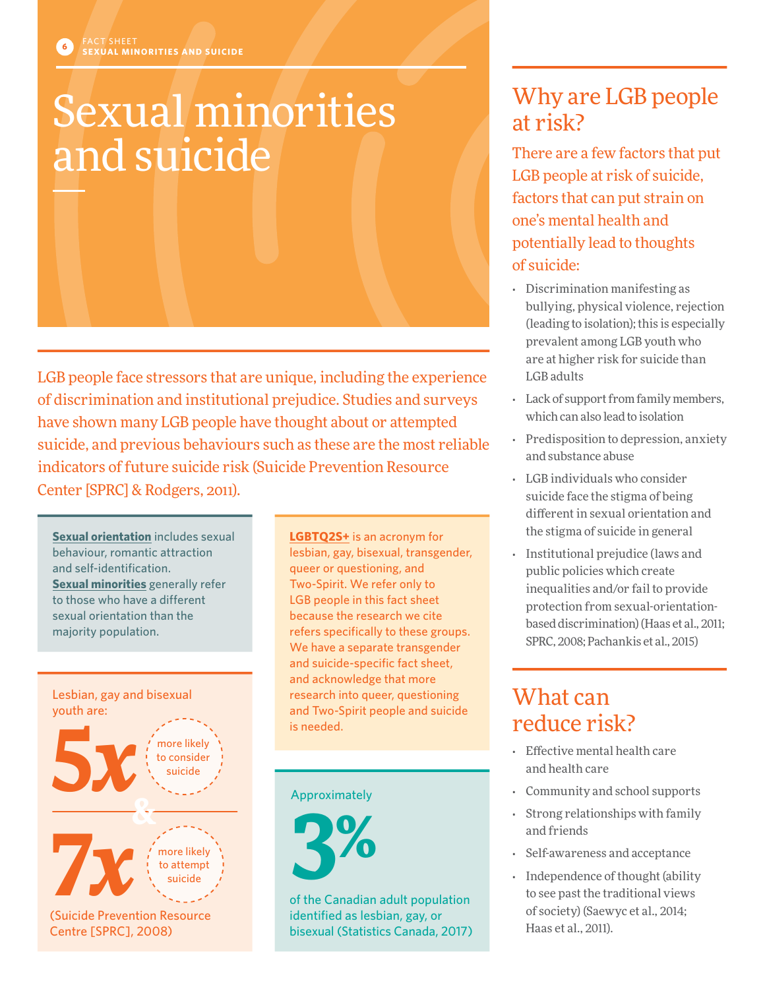# Sexual minorities and suicide

LGB people face stressors that are unique, including the experience of discrimination and institutional prejudice. Studies and surveys have shown many LGB people have thought about or attempted suicide, and previous behaviours such as these are the most reliable indicators of future suicide risk (Suicide Prevention Resource Center [SPRC] & Rodgers, 2011).

**Sexual orientation** includes sexual behaviour, romantic attraction and self-identification. **Sexual minorities** generally refer to those who have a different sexual orientation than the majority population.



**LGBTQ2S+** is an acronym for lesbian, gay, bisexual, transgender, queer or questioning, and Two-Spirit. We refer only to LGB people in this fact sheet because the research we cite refers specifically to these groups. We have a separate transgender and suicide-specific fact sheet, and acknowledge that more research into queer, questioning and Two-Spirit people and suicide

### Approximately



of the Canadian adult population identified as lesbian, gay, or bisexual (Statistics Canada, 2017)

# Why are LGB people at risk?

There are a few factors that put LGB people at risk of suicide, factors that can put strain on one's mental health and potentially lead to thoughts of suicide:

- Discrimination manifesting as bullying, physical violence, rejection (leading to isolation); this is especially prevalent among LGB youth who are at higher risk for suicide than LGB adults
- Lack of support from family members, which can also lead to isolation
- Predisposition to depression, anxiety and substance abuse
- LGB individuals who consider suicide face the stigma of being different in sexual orientation and the stigma of suicide in general
- Institutional prejudice (laws and public policies which create inequalities and/or fail to provide protection from sexual-orientationbased discrimination) (Haas et al., 2011; SPRC, 2008; Pachankis et al., 2015)

## What can reduce risk?

- Effective mental health care and health care
- Community and school supports
- Strong relationships with family and friends
- Self-awareness and acceptance
- Independence of thought (ability to see past the traditional views of society) (Saewyc et al., 2014; Haas et al., 2011).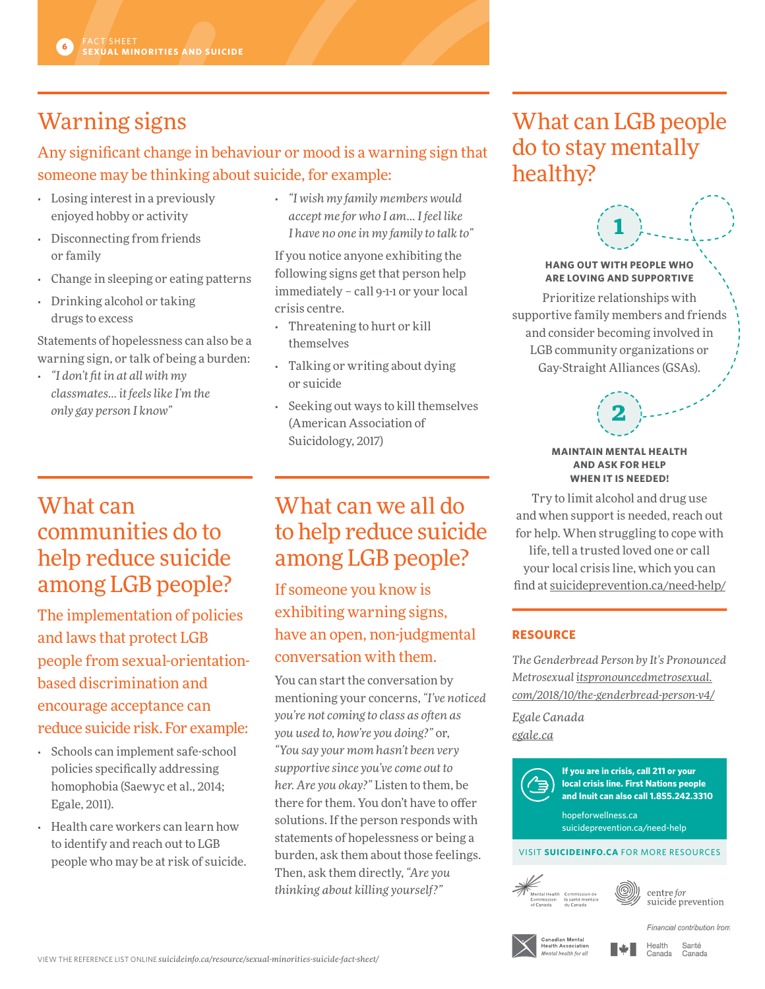# Warning signs

### Any significant change in behaviour or mood is a warning sign that someone may be thinking about suicide, for example:

- Losing interest in a previously enjoyed hobby or activity
- Disconnecting from friends or family
- Change in sleeping or eating patterns
- Drinking alcohol or taking drugs to excess

Statements of hopelessness can also be a warning sign, or talk of being a burden:

• *"I don't fit in at all with my classmates… it feels like I'm the only gay person I know"*

## What can communities do to help reduce suicide among LGB people?

The implementation of policies and laws that protect LGB people from sexual-orientationbased discrimination and encourage acceptance can reduce suicide risk. For example:

- Schools can implement safe-school policies specifically addressing homophobia (Saewyc et al., 2014; Egale, 2011).
- Health care workers can learn how to identify and reach out to LGB people who may be at risk of suicide.

• *"I wish my family members would accept me for who I am… I feel like I have no one in my family to talk to"*

If you notice anyone exhibiting the following signs get that person help immediately – call 9-1-1 or your local crisis centre.

- Threatening to hurt or kill themselves
- Talking or writing about dying or suicide
- Seeking out ways to kill themselves (American Association of Suicidology, 2017)

# What can we all do to help reduce suicide among LGB people?

If someone you know is exhibiting warning signs, have an open, non-judgmental conversation with them.

You can start the conversation by mentioning your concerns, *"I've noticed you're not coming to class as often as you used to, how're you doing?"* or, *"You say your mom hasn't been very supportive since you've come out to her. Are you okay?"* Listen to them, be there for them. You don't have to offer solutions. If the person responds with statements of hopelessness or being a burden, ask them about those feelings. Then, ask them directly, *"Are you thinking about killing yourself?"*

# What can LGB people do to stay mentally healthy?



**1**

Prioritize relationships with supportive family members and friends and consider becoming involved in LGB community organizations or Gay-Straight Alliances (GSAs).

### **MAINTAIN MENTAL HEALTH AND ASK FOR HELP WHEN IT IS NEEDED!**

**2**

Try to limit alcohol and drug use and when support is needed, reach out for help. When struggling to cope with life, tell a trusted loved one or call your local crisis line, which you can find at [suicideprevention.ca/need-help/](http://suicideprevention.ca/need-help/)

### **RESOURCE**

*The Genderbread Person by It's Pronounced Metrosexual [itspronouncedmetrosexual.](http://itspronouncedmetrosexual.com/2018/10/the-genderbread-person-v4/) [com/2018/10/the-genderbread-person-v4/](http://itspronouncedmetrosexual.com/2018/10/the-genderbread-person-v4/)*

*Egale Canada [egale.ca](http://egale.ca)*



**If you are in crisis, call 211 or your local crisis line. First Nations people and Inuit can also call 1.855.242.3310**

[hopeforwellness.ca](https://www.hopeforwellness.ca) <suicideprevention.ca/need-help>

### VISIT **[SUICIDEINFO.CA](http://suicideinfo.ca)** FOR MORE RESOURCES





suicide prevention